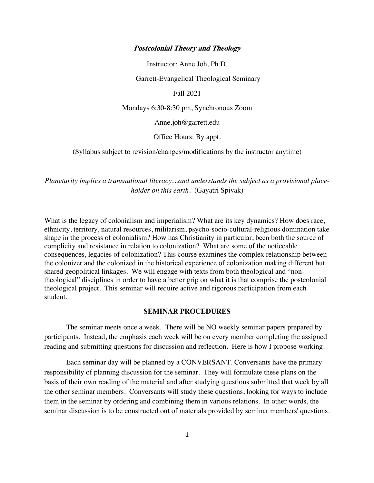#### **Postcolonial Theory and Theology**

Instructor: Anne Joh, Ph.D.

Garrett-Evangelical Theological Seminary

Fall 2021

Mondays 6:30-8:30 pm, Synchronous Zoom

Anne.joh@garrett.edu

Office Hours: By appt.

(Syllabus subject to revision/changes/modifications by the instructor anytime)

*Planetarity implies a transnational literacy…and understands the subject as a provisional placeholder on this earth*. (Gayatri Spivak)

What is the legacy of colonialism and imperialism? What are its key dynamics? How does race, ethnicity, territory, natural resources, militarism, psycho-socio-cultural-religious domination take shape in the process of colonialism? How has Christianity in particular, been both the source of complicity and resistance in relation to colonization? What are some of the noticeable consequences, legacies of colonization? This course examines the complex relationship between the colonizer and the colonized in the historical experience of colonization making different but shared geopolitical linkages. We will engage with texts from both theological and "nontheological" disciplines in order to have a better grip on what it is that comprise the postcolonial theological project. This seminar will require active and rigorous participation from each student.

#### **SEMINAR PROCEDURES**

The seminar meets once a week. There will be NO weekly seminar papers prepared by participants. Instead, the emphasis each week will be on every member completing the assigned reading and submitting questions for discussion and reflection. Here is how I propose working.

Each seminar day will be planned by a CONVERSANT. Conversants have the primary responsibility of planning discussion for the seminar. They will formulate these plans on the basis of their own reading of the material and after studying questions submitted that week by all the other seminar members. Conversants will study these questions, looking for ways to include them in the seminar by ordering and combining them in various relations. In other words, the seminar discussion is to be constructed out of materials provided by seminar members' questions.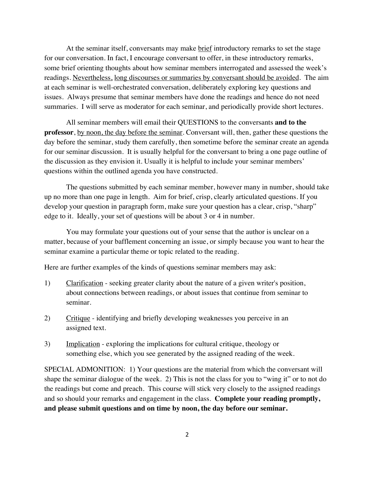At the seminar itself, conversants may make brief introductory remarks to set the stage for our conversation. In fact, I encourage conversant to offer, in these introductory remarks, some brief orienting thoughts about how seminar members interrogated and assessed the week's readings. Nevertheless, long discourses or summaries by conversant should be avoided. The aim at each seminar is well-orchestrated conversation, deliberately exploring key questions and issues. Always presume that seminar members have done the readings and hence do not need summaries. I will serve as moderator for each seminar, and periodically provide short lectures.

All seminar members will email their QUESTIONS to the conversants **and to the professor**, by noon, the day before the seminar. Conversant will, then, gather these questions the day before the seminar, study them carefully, then sometime before the seminar create an agenda for our seminar discussion. It is usually helpful for the conversant to bring a one page outline of the discussion as they envision it. Usually it is helpful to include your seminar members' questions within the outlined agenda you have constructed.

The questions submitted by each seminar member, however many in number, should take up no more than one page in length. Aim for brief, crisp, clearly articulated questions. If you develop your question in paragraph form, make sure your question has a clear, crisp, "sharp" edge to it. Ideally, your set of questions will be about 3 or 4 in number.

You may formulate your questions out of your sense that the author is unclear on a matter, because of your bafflement concerning an issue, or simply because you want to hear the seminar examine a particular theme or topic related to the reading.

Here are further examples of the kinds of questions seminar members may ask:

- 1) Clarification seeking greater clarity about the nature of a given writer's position, about connections between readings, or about issues that continue from seminar to seminar.
- 2) Critique identifying and briefly developing weaknesses you perceive in an assigned text.
- 3) Implication exploring the implications for cultural critique, theology or something else, which you see generated by the assigned reading of the week.

SPECIAL ADMONITION: 1) Your questions are the material from which the conversant will shape the seminar dialogue of the week. 2) This is not the class for you to "wing it" or to not do the readings but come and preach. This course will stick very closely to the assigned readings and so should your remarks and engagement in the class. **Complete your reading promptly, and please submit questions and on time by noon, the day before our seminar.**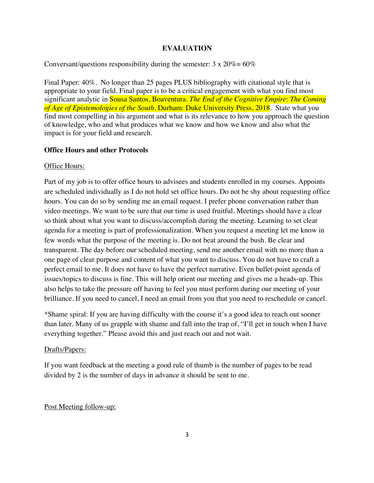# **EVALUATION**

## Conversant/questions responsibility during the semester:  $3 \times 20\% = 60\%$

Final Paper: 40%. No longer than 25 pages PLUS bibliography with citational style that is appropriate to your field. Final paper is to be a critical engagement with what you find most significant analytic in Sousa Santos, Boaventura. *The End of the Cognitive Empire*: *The Coming of Age of Epistemologies of the South*. Durham: Duke University Press, 2018. State what you find most compelling in his argument and what is its relevance to how you approach the question of knowledge, who and what produces what we know and how we know and also what the impact is for your field and research.

### **Office Hours and other Protocols**

### Office Hours:

Part of my job is to offer office hours to advisees and students enrolled in my courses. Appoints are scheduled individually as I do not hold set office hours. Do not be shy about requesting office hours. You can do so by sending me an email request. I prefer phone conversation rather than video meetings. We want to be sure that our time is used fruitful. Meetings should have a clear so think about what you want to discuss/accomplish during the meeting. Learning to set clear agenda for a meeting is part of professionalization. When you request a meeting let me know in few words what the purpose of the meeting is. Do not beat around the bush. Be clear and transparent. The day before our scheduled meeting, send me another email with no more than a one page of clear purpose and content of what you want to discuss. You do not have to craft a perfect email to me. It does not have to have the perfect narrative. Even bullet-point agenda of issues/topics to discuss is fine. This will help orient our meeting and gives me a heads-up. This also helps to take the pressure off having to feel you must perform during our meeting of your brilliance. If you need to cancel, I need an email from you that you need to reschedule or cancel.

\*Shame spiral: If you are having difficulty with the course it's a good idea to reach out sooner than later. Many of us grapple with shame and fall into the trap of, "I'll get in touch when I have everything together." Please avoid this and just reach out and not wait.

### Drafts/Papers:

If you want feedback at the meeting a good rule of thumb is the number of pages to be read divided by 2 is the number of days in advance it should be sent to me.

## Post Meeting follow-up: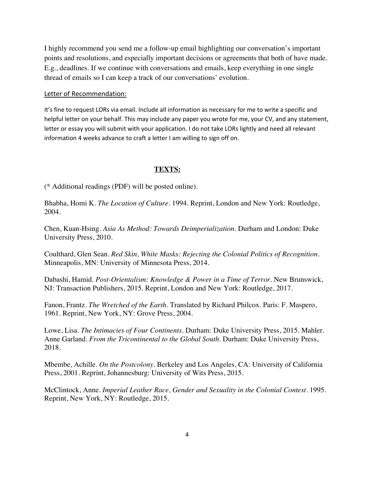I highly recommend you send me a follow-up email highlighting our conversation's important points and resolutions, and especially important decisions or agreements that both of have made. E.g., deadlines. If we continue with conversations and emails, keep everything in one single thread of emails so I can keep a track of our conversations' evolution.

## Letter of Recommendation:

It's fine to request LORs via email. Include all information as necessary for me to write a specific and helpful letter on your behalf. This may include any paper you wrote for me, your CV, and any statement, letter or essay you will submit with your application. I do not take LORs lightly and need all relevant information 4 weeks advance to craft a letter I am willing to sign off on.

### **TEXTS:**

(\* Additional readings (PDF) will be posted online).

Bhabha, Homi K. *The Location of Culture*. 1994. Reprint, London and New York: Routledge, 2004.

Chen, Kuan-Hsing. *Asia As Method: Towards Deimperialization*. Durham and London: Duke University Press, 2010.

Coulthard, Glen Sean. *Red Skin, White Masks: Rejecting the Colonial Politics of Recognition*. Minneapolis, MN: University of Minnesota Press, 2014.

Dabashi, Hamid. *Post-Orientalism: Knowledge & Power in a Time of Terror*. New Brunswick, NJ: Transaction Publishers, 2015. Reprint, London and New York: Routledge, 2017.

Fanon, Frantz. *The Wretched of the Earth.* Translated by Richard Philcox. Paris: F. Maspero, 1961. Reprint, New York, NY: Grove Press, 2004.

Lowe, Lisa. *The Intimacies of Four Continents*. Durham: Duke University Press, 2015. Mahler. Anne Garland. *From the Tricontinental to the Global South*. Durham: Duke University Press, 2018.

Mbembe, Achille. *On the Postcolony*. Berkeley and Los Angeles, CA: University of California Press, 2001. Reprint, Johannesburg: University of Wits Press, 2015.

McClintock, Anne. *Imperial Leather Race, Gender and Sexuality in the Colonial Contest*. 1995. Reprint, New York, NY: Routledge, 2015.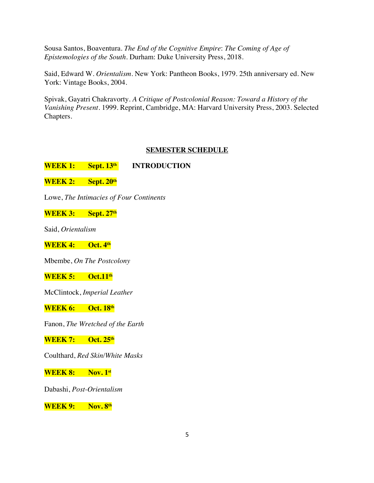Sousa Santos, Boaventura. *The End of the Cognitive Empire*: *The Coming of Age of Epistemologies of the South*. Durham: Duke University Press, 2018.

Said, Edward W. *Orientalism*. New York: Pantheon Books, 1979. 25th anniversary ed. New York: Vintage Books, 2004.

Spivak, Gayatri Chakravorty. *A Critique of Postcolonial Reason: Toward a History of the Vanishing Present.* 1999. Reprint, Cambridge, MA: Harvard University Press, 2003. Selected Chapters.

# **SEMESTER SCHEDULE**

**WEEK 1: Sept. 13th INTRODUCTION**

**WEEK 2: Sept. 20th**

Lowe, *The Intimacies of Four Continents*

**WEEK 3: Sept. 27th**

Said, *Orientalism*

**WEEK 4: Oct. 4th**

Mbembe, *On The Postcolony*

**WEEK 5: Oct.11th**

McClintock, *Imperial Leather*

**WEEK 6: Oct. 18th**

Fanon, *The Wretched of the Earth*

**WEEK 7: Oct. 25th**

Coulthard, *Red Skin/White Masks*

**WEEK 8: Nov. 1st**

Dabashi, *Post-Orientalism*

**WEEK 9: Nov. 8th**